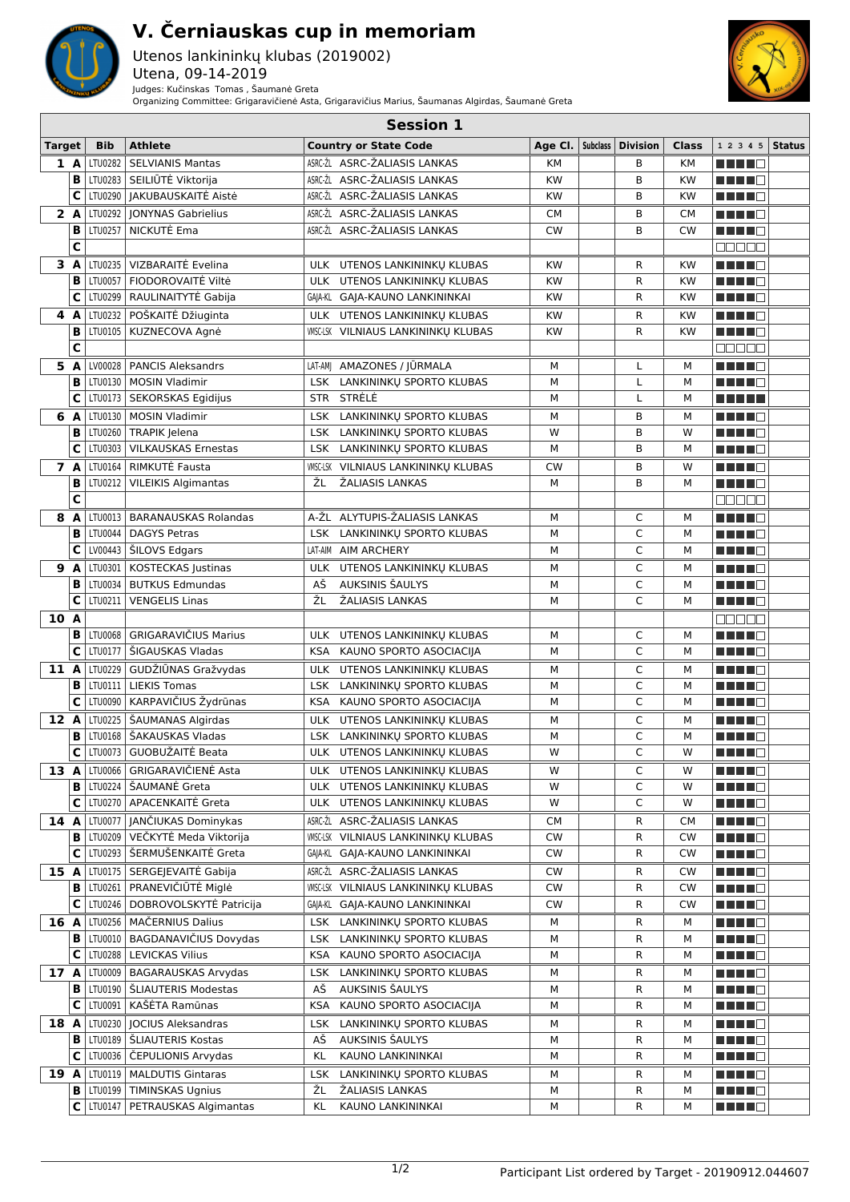

## **V. Černiauskas cup in memoriam**

Utenos lankininkų klubas (2019002) Utena, 09-14-2019 Judges: Kučinskas Tomas , Šaumanė Greta Organizing Committee: Grigaravičienė Asta, Grigaravičius Marius, Šaumanas Algirdas, Šaumanė Greta



|               | <b>Session 1</b> |                    |                                          |            |                                                              |                        |  |                     |                        |                              |               |
|---------------|------------------|--------------------|------------------------------------------|------------|--------------------------------------------------------------|------------------------|--|---------------------|------------------------|------------------------------|---------------|
| <b>Target</b> |                  | <b>Bib</b>         | <b>Athlete</b>                           |            | <b>Country or State Code</b>                                 | Age Cl.                |  | Subclass   Division | Class                  | 1 2 3 4 5                    | <b>Status</b> |
|               | 1 A              | LTU0282            | <b>SELVIANIS Mantas</b>                  |            | ASRC-ŽL ASRC-ŽALIASIS LANKAS                                 | KM                     |  | В                   | <b>KM</b>              | HH H H                       |               |
|               | B                |                    | LTU0283 SEILIŪTĖ Viktorija               |            | ASRC-ŽL ASRC-ŽALIASIS LANKAS                                 | <b>KW</b>              |  | B                   | KW                     | ma mata                      |               |
|               | c                | LTU0290            | JAKUBAUSKAITĖ Aistė                      |            | ASRC-ŽL ASRC-ŽALIASIS LANKAS                                 | <b>KW</b>              |  | B                   | <b>KW</b>              | HH 11                        |               |
|               | 2A               | LTU0292            | <b>IONYNAS Gabrielius</b>                |            | ASRC-ŽL ASRC-ŽALIASIS LANKAS                                 | СM                     |  | В                   | <b>CM</b>              | ma mata                      |               |
|               | в                | LTU0257            | NICKUTĖ Ema                              |            | ASRC-ŽL ASRC-ŽALIASIS LANKAS                                 | <b>CW</b>              |  | B                   | <b>CW</b>              | a kata ing P                 |               |
|               | C                |                    |                                          |            |                                                              |                        |  |                     |                        | 80000                        |               |
|               |                  |                    | VIZBARAITĖ Evelina                       |            |                                                              |                        |  |                     |                        |                              |               |
|               | 3 A<br>B         | LTU0235<br>LTU0057 | FIODOROVAITĖ Viltė                       |            | ULK UTENOS LANKININKU KLUBAS<br>ULK UTENOS LANKININKŲ KLUBAS | <b>KW</b>              |  | R<br>R              | <b>KW</b><br><b>KW</b> | ma mata                      |               |
|               | C                |                    | LTU0299   RAULINAITYTĖ Gabija            |            |                                                              | <b>KW</b><br><b>KW</b> |  | R                   |                        | n in Film                    |               |
|               |                  |                    |                                          |            | GAJA-KL GAJA-KAUNO LANKININKAI                               |                        |  |                     | <b>KW</b>              | ma mata                      |               |
|               | 4 A              | LTU0232            | POŠKAITĖ Džiuginta                       |            | ULK UTENOS LANKININKU KLUBAS                                 | <b>KW</b>              |  | R                   | <b>KW</b>              | n din N                      |               |
|               | B                | LTU0105            | KUZNECOVA Agnė                           |            | <b>WISC-LSK VILNIAUS LANKININKU KLUBAS</b>                   | <b>KW</b>              |  | R                   | <b>KW</b>              | a da bir bir                 |               |
|               | C                |                    |                                          |            |                                                              |                        |  |                     |                        | 80000                        |               |
|               | 5 A              | LV00028            | <b>PANCIS Aleksandrs</b>                 |            | LAT-AMJ AMAZONES / JŪRMALA                                   | М                      |  | L                   | м                      | n din din k                  |               |
|               | в                | LTU0130            | <b>MOSIN Vladimir</b>                    | <b>LSK</b> | LANKININKU SPORTO KLUBAS                                     | М                      |  | L                   | М                      | n din D                      |               |
|               | C                |                    | LTU0173   SEKORSKAS Egidijus             |            | STR STRĖLĖ                                                   | M                      |  | Г                   | М                      | M M M M M                    |               |
| 6             | A                | LTU0130            | <b>MOSIN Vladimir</b>                    | LSK        | LANKININKŲ SPORTO KLUBAS                                     | М                      |  | В                   | М                      | n din Fil                    |               |
|               | В                |                    | LTU0260   TRAPIK Jelena                  | LSK        | LANKININKŲ SPORTO KLUBAS                                     | W                      |  | В                   | W                      | ma matsa                     |               |
|               | C                | LTU0303            | <b>VILKAUSKAS Ernestas</b>               |            | LSK LANKININKŲ SPORTO KLUBAS                                 | М                      |  | B                   | М                      | n in Fin                     |               |
|               | 7 A              |                    | LTU0164   RIMKUTĖ Fausta                 |            | WISC-LSK VILNIAUS LANKININKU KLUBAS                          | <b>CW</b>              |  | В                   | W                      | n Ting                       |               |
|               | в                | LTU0212            | <b>VILEIKIS Algimantas</b>               | ŽL         | ŽALIASIS LANKAS                                              | М                      |  | B                   | М                      | MAN D                        |               |
|               | C                |                    |                                          |            |                                                              |                        |  |                     |                        | <b>NODOD</b>                 |               |
| 8             | A                |                    | LTU0013   BARANAUSKAS Rolandas           |            | A-ŽL ALYTUPIS-ŽALIASIS LANKAS                                | М                      |  | С                   | м                      | MA MARI                      |               |
|               | в                | LTU0044            | <b>DAGYS Petras</b>                      |            | LSK LANKININKŲ SPORTO KLUBAS                                 | М                      |  | C                   | М                      | ma mata                      |               |
|               | С                |                    | LV00443   SILOVS Edgars                  |            | LAT-AIM AIM ARCHERY                                          | М                      |  | C                   | М                      | n di Tin                     |               |
| 9             | A                | LTU0301            | <b>KOSTECKAS Justinas</b>                |            | ULK UTENOS LANKININKU KLUBAS                                 | М                      |  | C                   | м                      | ma mata                      |               |
|               | B                | LTU0034            | <b>BUTKUS Edmundas</b>                   | AŠ         | AUKSINIS ŠAULYS                                              | М                      |  | C                   | М                      | n in Fil                     |               |
|               | C                | LTU0211            | <b>VENGELIS Linas</b>                    | ŽL         | ŽALIASIS LANKAS                                              | М                      |  | C                   | M                      | HH H E                       |               |
| 10 A          |                  |                    |                                          |            |                                                              |                        |  |                     |                        |                              |               |
|               |                  |                    | <b>GRIGARAVIČIUS Marius</b>              |            |                                                              |                        |  |                     |                        | an an a                      |               |
|               | в                | LTU0068            |                                          | <b>ULK</b> | UTENOS LANKININKŲ KLUBAS                                     | М                      |  | C<br>C              | М<br>M                 | <u> Helling</u>              |               |
|               | C                |                    | LTU0177   SIGAUSKAS Vladas               |            | KSA KAUNO SPORTO ASOCIACIJA                                  | М                      |  |                     |                        | MA MATE                      |               |
| 11 A          |                  | LTU0229            | GUDŽIŪNAS Gražvydas                      |            | ULK UTENOS LANKININKŲ KLUBAS                                 | М                      |  | C                   | М                      | ma mata                      |               |
|               | B                |                    | LTU0111   LIEKIS Tomas                   |            | LSK LANKININKŲ SPORTO KLUBAS                                 | М                      |  | C                   | М                      | HH H H                       |               |
|               | С                |                    | LTU0090   KARPAVIČIUS Žydrūnas           |            | KSA KAUNO SPORTO ASOCIACIJA                                  | М                      |  | C                   | М                      | HH H E                       |               |
| 12 A          |                  |                    | LTU0225   ŠAUMANAS Algirdas              |            | ULK UTENOS LANKININKŲ KLUBAS                                 | М                      |  | C                   | м                      | ma mata                      |               |
|               | в                |                    | LTU0168   ŠAKAUSKAS Vladas               |            | LSK LANKININKŲ SPORTO KLUBAS                                 | М                      |  | C                   | M                      |                              |               |
|               | С                |                    | LTU0073   GUOBUŽAITĖ Beata               |            | ULK UTENOS LANKININKŲ KLUBAS                                 | W                      |  | C                   | W                      | MA MARIT                     |               |
|               |                  |                    | 13 A LTU0066 GRIGARAVIČIENĖ Asta         |            | ULK UTENOS LANKININKŲ KLUBAS                                 | W                      |  | С                   | W                      | M M M M M                    |               |
|               | в                | LTU0224            | ŠAUMANĖ Greta                            |            | ULK UTENOS LANKININKU KLUBAS                                 | W                      |  | С                   | W                      |                              |               |
|               | с                |                    | LTU0270   APACENKAITĖ Greta              |            | ULK UTENOS LANKININKŲ KLUBAS                                 | W                      |  | C                   | W                      | <u> Herman Se</u>            |               |
| 14 A          |                  |                    | LTU0077   JANČIUKAS Dominykas            |            | ASRC-ŽL ASRC-ŽALIASIS LANKAS                                 | CМ                     |  | R                   | CМ                     | HH H                         |               |
|               | в                | LTU0209            | VEČKYTĖ Meda Viktorija                   |            | <b>WISC-LSK VILNIAUS LANKININKU KLUBAS</b>                   | <b>CW</b>              |  | R                   | <b>CW</b>              | MA MARI                      |               |
|               | С                |                    | LTU0293   ŠERMUŠENKAITĖ Greta            |            | GAJA-KL GAJA-KAUNO LANKININKAI                               | <b>CW</b>              |  | R                   | <b>CW</b>              | Martin Ma                    |               |
|               |                  |                    | 15 A   LTU0175   SERGEJEVAITĖ Gabija     |            | ASRC-ŽL ASRC-ŽALIASIS LANKAS                                 | <b>CW</b>              |  | R                   | CW                     | n na ma                      |               |
|               |                  |                    | B   LTU0261   PRANEVIČIŪTĖ Miglė         |            | <b>WISC-LSK VILNIAUS LANKININKU KLUBAS</b>                   | <b>CW</b>              |  | R                   | <b>CW</b>              | Martin Mar                   |               |
|               | С                |                    | LTU0246   DOBROVOLSKYTĖ Patricija        |            | GAJA-KL GAJA-KAUNO LANKININKAI                               | <b>CW</b>              |  | R                   | CW                     | <u>Li Li Li B</u>            |               |
|               |                  |                    | 16 A   LTU0256   MAČERNIUS Dalius        | LSK        | LANKININKU SPORTO KLUBAS                                     | М                      |  | R                   | м                      | Martin Mar                   |               |
|               | В                |                    | LTU0010   BAGDANAVIČIUS Dovydas          | <b>LSK</b> | LANKININKU SPORTO KLUBAS                                     | м                      |  | R                   | М                      | ME HE O                      |               |
|               | С                | LTU0288            | <b>LEVICKAS Vilius</b>                   | KSA        | KAUNO SPORTO ASOCIACIJA                                      | М                      |  | R                   | М                      | ME HE H                      |               |
|               |                  |                    | 17 A LTU0009 BAGARAUSKAS Arvydas         | LSK        | LANKININKU SPORTO KLUBAS                                     | м                      |  | R                   | М                      | Martin Ma                    |               |
|               |                  |                    | <b>B</b>   LTU0190   ŠLIAUTERIS Modestas | АŠ         | AUKSINIS ŠAULYS                                              | М                      |  | R                   | м                      | <u> Here a Be</u>            |               |
|               | С                |                    | LTU0091   KAŠĖTA Ramūnas                 | KSA        | KAUNO SPORTO ASOCIACIJA                                      | М                      |  | R                   | М                      | <u> Helena e</u>             |               |
|               |                  |                    | 18 A   LTU0230   JOCIUS Aleksandras      | LSK        | LANKININKU SPORTO KLUBAS                                     |                        |  |                     |                        |                              |               |
|               | В                |                    | LTU0189   ŠLIAUTERIS Kostas              | AŠ         | AUKSINIS ŠAULYS                                              | м<br>М                 |  | R                   | М                      | Martin Mar                   |               |
|               | С                |                    |                                          |            |                                                              |                        |  | R                   | м                      | MA MARI                      |               |
|               |                  |                    | LTU0036   ČEPULIONIS Arvydas             | KL         | KAUNO LANKININKAI                                            | М                      |  | R                   | М                      | <u> Helena Santa Barat a</u> |               |
| 19 A          |                  |                    | LTU0119   MALDUTIS Gintaras              | LSK        | LANKININKŲ SPORTO KLUBAS                                     | М                      |  | R                   | м                      | <u> Here a Bi</u>            |               |
|               | в                | LTU0199            | <b>TIMINSKAS Ugnius</b>                  | ŽL         | ŽALIASIS LANKAS                                              | М                      |  | R                   | М                      |                              |               |
|               | с                |                    | LTU0147   PETRAUSKAS Algimantas          | KL         | KAUNO LANKININKAI                                            | М                      |  | R                   | м                      | <u> Helling</u>              |               |